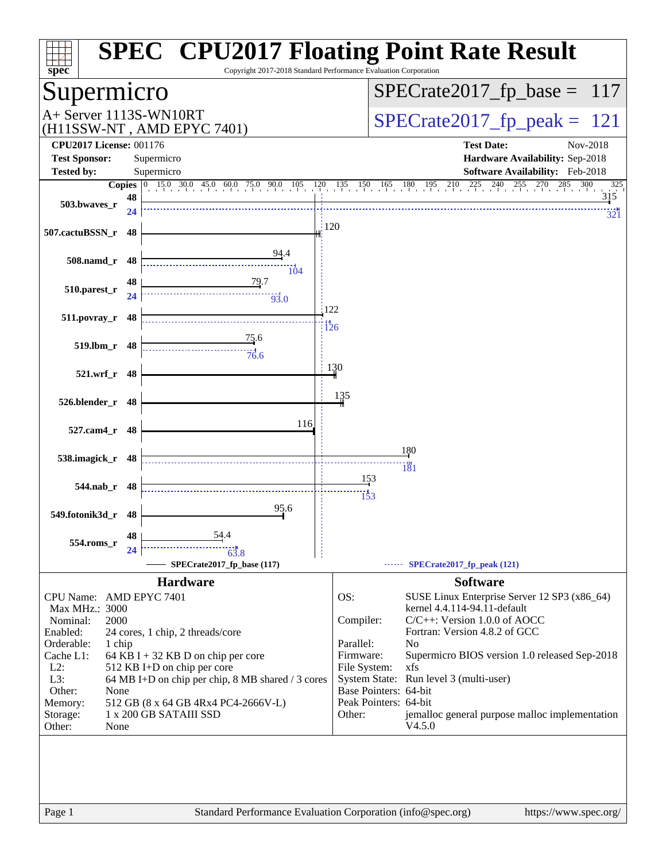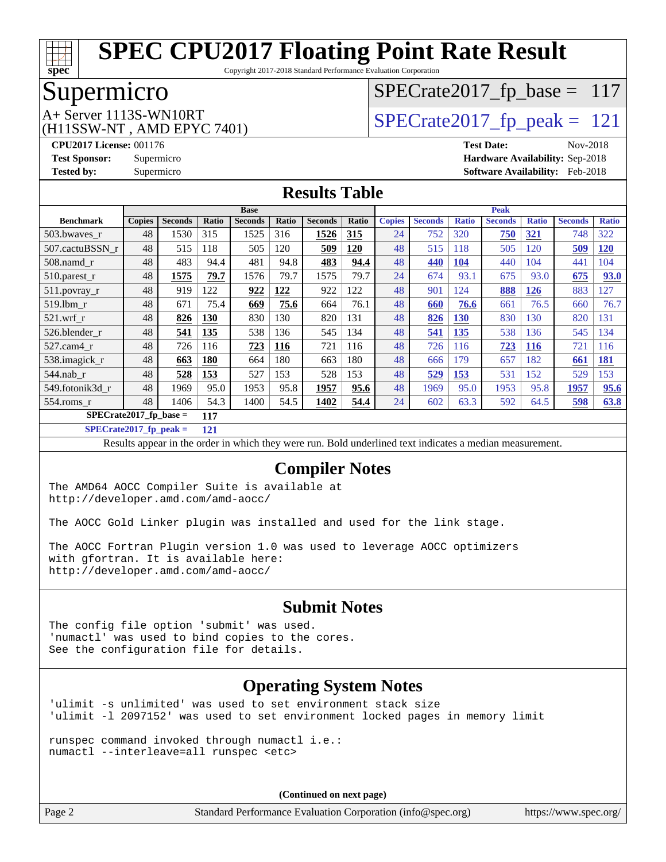

Copyright 2017-2018 Standard Performance Evaluation Corporation

## Supermicro

 $SPECrate2017_fp\_base = 117$ 

(H11SSW-NT , AMD EPYC 7401)

 $A+$  Server 1113S-WN10RT  $\begin{array}{|l|l|}\n\hline\n\text{A+Server 1113S-WN10RT}\n\hline\n\text{A+Server 1113S-WN10RT}\n\hline\n\end{array}$ 

**[CPU2017 License:](http://www.spec.org/auto/cpu2017/Docs/result-fields.html#CPU2017License)** 001176 **[Test Date:](http://www.spec.org/auto/cpu2017/Docs/result-fields.html#TestDate)** Nov-2018 **[Test Sponsor:](http://www.spec.org/auto/cpu2017/Docs/result-fields.html#TestSponsor)** Supermicro **[Hardware Availability:](http://www.spec.org/auto/cpu2017/Docs/result-fields.html#HardwareAvailability)** Sep-2018 **[Tested by:](http://www.spec.org/auto/cpu2017/Docs/result-fields.html#Testedby)** Supermicro **[Software Availability:](http://www.spec.org/auto/cpu2017/Docs/result-fields.html#SoftwareAvailability)** Feb-2018

#### **[Results Table](http://www.spec.org/auto/cpu2017/Docs/result-fields.html#ResultsTable)**

|                           |               | <b>Base</b>    |            |                |              | <b>Peak</b>    |            |               |                |              |                |              |                |              |
|---------------------------|---------------|----------------|------------|----------------|--------------|----------------|------------|---------------|----------------|--------------|----------------|--------------|----------------|--------------|
| <b>Benchmark</b>          | <b>Copies</b> | <b>Seconds</b> | Ratio      | <b>Seconds</b> | <b>Ratio</b> | <b>Seconds</b> | Ratio      | <b>Copies</b> | <b>Seconds</b> | <b>Ratio</b> | <b>Seconds</b> | <b>Ratio</b> | <b>Seconds</b> | <b>Ratio</b> |
| 503.bwayes r              | 48            | 1530           | 315        | 1525           | 316          | 1526           | <u>315</u> | 24            | 752            | 320          | 750            | <u>321</u>   | 748            | 322          |
| 507.cactuBSSN r           | 48            | 515            | 118        | 505            | 120          | 509            | <b>120</b> | 48            | 515            | 118          | 505            | 120          | 509            | <u>120</u>   |
| $508$ .namd $r$           | 48            | 483            | 94.4       | 481            | 94.8         | 483            | 94.4       | 48            | 440            | <b>104</b>   | 440            | 104          | 441            | 104          |
| 510.parest_r              | 48            | 1575           | 79.7       | 1576           | 79.7         | 1575           | 79.7       | 24            | 674            | 93.1         | 675            | 93.0         | 675            | 93.0         |
| 511.povray_r              | 48            | 919            | 122        | 922            | <u>122</u>   | 922            | 122        | 48            | 901            | 124          | 888            | <u>126</u>   | 883            | 127          |
| 519.1bm r                 | 48            | 671            | 75.4       | 669            | 75.6         | 664            | 76.1       | 48            | 660            | 76.6         | 661            | 76.5         | 660            | 76.7         |
| $521$ .wrf r              | 48            | 826            | 130        | 830            | 130          | 820            | 131        | 48            | 826            | 130          | 830            | 130          | 820            | 131          |
| 526.blender r             | 48            | 541            | 135        | 538            | 136          | 545            | 134        | 48            | 541            | <u>135</u>   | 538            | 136          | 545            | 134          |
| 527.cam4 r                | 48            | 726            | 116        | 723            | 116          | 721            | 116        | 48            | 726            | 116          | 723            | <b>116</b>   | 721            | 116          |
| 538.imagick_r             | 48            | 663            | <b>180</b> | 664            | 180          | 663            | 180        | 48            | 666            | 179          | 657            | 182          | 661            | <b>181</b>   |
| 544.nab r                 | 48            | 528            | 153        | 527            | 153          | 528            | 153        | 48            | 529            | 153          | 531            | 152          | 529            | 153          |
| 549.fotonik3d r           | 48            | 1969           | 95.0       | 1953           | 95.8         | 1957           | 95.6       | 48            | 1969           | 95.0         | 1953           | 95.8         | 1957           | 95.6         |
| $554$ .roms r             | 48            | 1406           | 54.3       | 1400           | 54.5         | 1402           | 54.4       | 24            | 602            | 63.3         | 592            | 64.5         | 598            | 63.8         |
| $SPECrate2017_fp\_base =$ |               |                | 117        |                |              |                |            |               |                |              |                |              |                |              |

**[SPECrate2017\\_fp\\_peak =](http://www.spec.org/auto/cpu2017/Docs/result-fields.html#SPECrate2017fppeak) 121**

Results appear in the [order in which they were run.](http://www.spec.org/auto/cpu2017/Docs/result-fields.html#RunOrder) Bold underlined text [indicates a median measurement.](http://www.spec.org/auto/cpu2017/Docs/result-fields.html#Median)

#### **[Compiler Notes](http://www.spec.org/auto/cpu2017/Docs/result-fields.html#CompilerNotes)**

The AMD64 AOCC Compiler Suite is available at <http://developer.amd.com/amd-aocc/>

The AOCC Gold Linker plugin was installed and used for the link stage.

The AOCC Fortran Plugin version 1.0 was used to leverage AOCC optimizers with gfortran. It is available here: <http://developer.amd.com/amd-aocc/>

#### **[Submit Notes](http://www.spec.org/auto/cpu2017/Docs/result-fields.html#SubmitNotes)**

The config file option 'submit' was used. 'numactl' was used to bind copies to the cores. See the configuration file for details.

### **[Operating System Notes](http://www.spec.org/auto/cpu2017/Docs/result-fields.html#OperatingSystemNotes)**

'ulimit -s unlimited' was used to set environment stack size 'ulimit -l 2097152' was used to set environment locked pages in memory limit

runspec command invoked through numactl i.e.: numactl --interleave=all runspec <etc>

**(Continued on next page)**

Page 2 Standard Performance Evaluation Corporation [\(info@spec.org\)](mailto:info@spec.org) <https://www.spec.org/>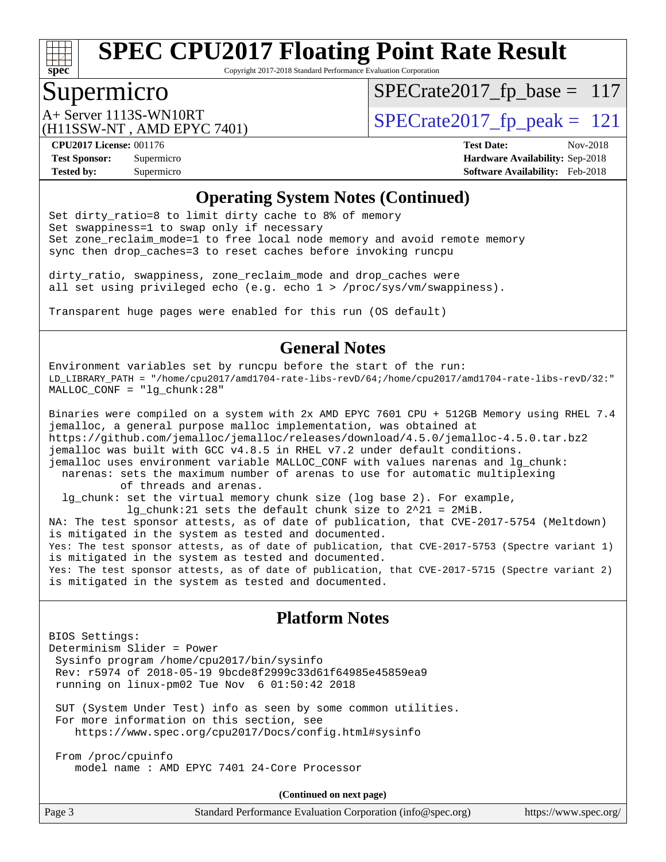

Copyright 2017-2018 Standard Performance Evaluation Corporation

# Supermicro

 $SPECTate2017_fp\_base = 117$ 

(H11SSW-NT , AMD EPYC 7401)

A+ Server 1113S-WN10RT<br>
(H11SSW\_NT) AMD FPYC 7401) [SPECrate2017\\_fp\\_peak =](http://www.spec.org/auto/cpu2017/Docs/result-fields.html#SPECrate2017fppeak) 121

**[Tested by:](http://www.spec.org/auto/cpu2017/Docs/result-fields.html#Testedby)** Supermicro **[Software Availability:](http://www.spec.org/auto/cpu2017/Docs/result-fields.html#SoftwareAvailability)** Feb-2018

**[CPU2017 License:](http://www.spec.org/auto/cpu2017/Docs/result-fields.html#CPU2017License)** 001176 **[Test Date:](http://www.spec.org/auto/cpu2017/Docs/result-fields.html#TestDate)** Nov-2018 **[Test Sponsor:](http://www.spec.org/auto/cpu2017/Docs/result-fields.html#TestSponsor)** Supermicro **[Hardware Availability:](http://www.spec.org/auto/cpu2017/Docs/result-fields.html#HardwareAvailability)** Sep-2018

#### **[Operating System Notes \(Continued\)](http://www.spec.org/auto/cpu2017/Docs/result-fields.html#OperatingSystemNotes)**

Set dirty\_ratio=8 to limit dirty cache to 8% of memory Set swappiness=1 to swap only if necessary Set zone\_reclaim\_mode=1 to free local node memory and avoid remote memory sync then drop\_caches=3 to reset caches before invoking runcpu

dirty\_ratio, swappiness, zone\_reclaim\_mode and drop\_caches were all set using privileged echo (e.g. echo 1 > /proc/sys/vm/swappiness).

Transparent huge pages were enabled for this run (OS default)

#### **[General Notes](http://www.spec.org/auto/cpu2017/Docs/result-fields.html#GeneralNotes)**

Environment variables set by runcpu before the start of the run: LD\_LIBRARY\_PATH = "/home/cpu2017/amd1704-rate-libs-revD/64;/home/cpu2017/amd1704-rate-libs-revD/32:" MALLOC\_CONF = "lg\_chunk:28"

Binaries were compiled on a system with 2x AMD EPYC 7601 CPU + 512GB Memory using RHEL 7.4 jemalloc, a general purpose malloc implementation, was obtained at <https://github.com/jemalloc/jemalloc/releases/download/4.5.0/jemalloc-4.5.0.tar.bz2> jemalloc was built with GCC v4.8.5 in RHEL v7.2 under default conditions. jemalloc uses environment variable MALLOC\_CONF with values narenas and lg\_chunk: narenas: sets the maximum number of arenas to use for automatic multiplexing of threads and arenas. lg\_chunk: set the virtual memory chunk size (log base 2). For example, lg chunk:21 sets the default chunk size to  $2^21 = 2MiB$ . NA: The test sponsor attests, as of date of publication, that CVE-2017-5754 (Meltdown) is mitigated in the system as tested and documented. Yes: The test sponsor attests, as of date of publication, that CVE-2017-5753 (Spectre variant 1) is mitigated in the system as tested and documented. Yes: The test sponsor attests, as of date of publication, that CVE-2017-5715 (Spectre variant 2) is mitigated in the system as tested and documented.

#### **[Platform Notes](http://www.spec.org/auto/cpu2017/Docs/result-fields.html#PlatformNotes)**

BIOS Settings: Determinism Slider = Power Sysinfo program /home/cpu2017/bin/sysinfo Rev: r5974 of 2018-05-19 9bcde8f2999c33d61f64985e45859ea9 running on linux-pm02 Tue Nov 6 01:50:42 2018

 SUT (System Under Test) info as seen by some common utilities. For more information on this section, see <https://www.spec.org/cpu2017/Docs/config.html#sysinfo>

 From /proc/cpuinfo model name : AMD EPYC 7401 24-Core Processor

**(Continued on next page)**

| Page 3<br>Standard Performance Evaluation Corporation (info@spec.org)<br>https://www.spec.org/ |  |
|------------------------------------------------------------------------------------------------|--|
|------------------------------------------------------------------------------------------------|--|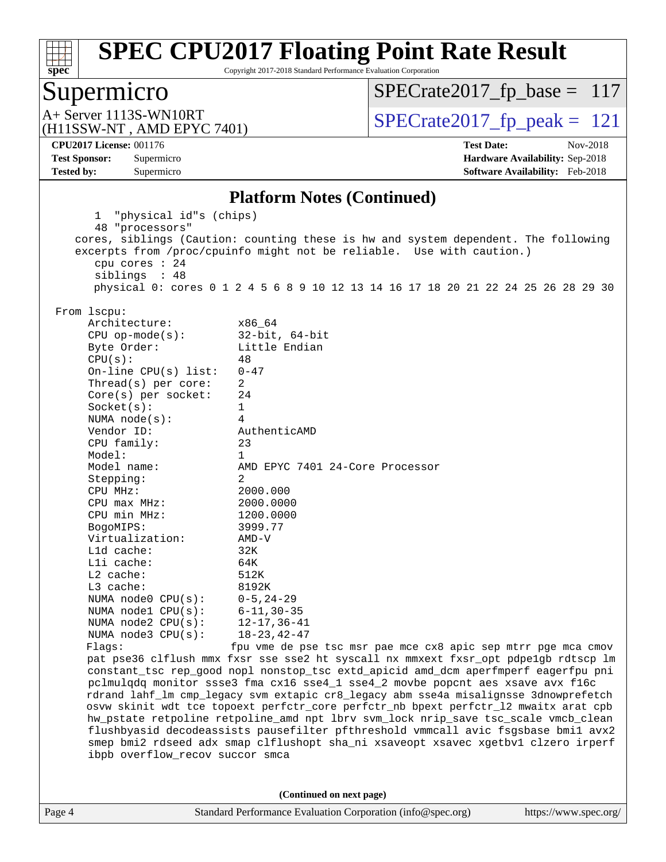

Copyright 2017-2018 Standard Performance Evaluation Corporation

### Supermicro

 $SPECrate2017_fp\_base = 117$ 

(H11SSW-NT , AMD EPYC 7401)

 $A+$  Server 1113S-WN10RT  $\begin{array}{|l|l|}\n\hline\n\text{A+Server 1113S-WN10RT}\n\hline\n\text{A+Server 1113S-WN10RT}\n\hline\n\end{array}$ 

**[Tested by:](http://www.spec.org/auto/cpu2017/Docs/result-fields.html#Testedby)** Supermicro **[Software Availability:](http://www.spec.org/auto/cpu2017/Docs/result-fields.html#SoftwareAvailability)** Feb-2018

**[CPU2017 License:](http://www.spec.org/auto/cpu2017/Docs/result-fields.html#CPU2017License)** 001176 **[Test Date:](http://www.spec.org/auto/cpu2017/Docs/result-fields.html#TestDate)** Nov-2018 **[Test Sponsor:](http://www.spec.org/auto/cpu2017/Docs/result-fields.html#TestSponsor)** Supermicro **[Hardware Availability:](http://www.spec.org/auto/cpu2017/Docs/result-fields.html#HardwareAvailability)** Sep-2018

#### **[Platform Notes \(Continued\)](http://www.spec.org/auto/cpu2017/Docs/result-fields.html#PlatformNotes)**

Page 4 Standard Performance Evaluation Corporation [\(info@spec.org\)](mailto:info@spec.org) <https://www.spec.org/> 1 "physical id"s (chips) 48 "processors" cores, siblings (Caution: counting these is hw and system dependent. The following excerpts from /proc/cpuinfo might not be reliable. Use with caution.) cpu cores : 24 siblings : 48 physical 0: cores 0 1 2 4 5 6 8 9 10 12 13 14 16 17 18 20 21 22 24 25 26 28 29 30 From lscpu: Architecture: x86\_64 CPU op-mode(s): 32-bit, 64-bit Byte Order: Little Endian  $CPU(s):$  48 On-line CPU(s) list: 0-47 Thread(s) per core: 2 Core(s) per socket: 24 Socket(s): 1 NUMA node(s): 4 Vendor ID: AuthenticAMD CPU family: 23 Model: 1 Model name: AMD EPYC 7401 24-Core Processor Stepping: 2 CPU MHz: 2000.000 CPU max MHz: 2000.0000 CPU min MHz: 1200.0000 BogoMIPS: 3999.77 Virtualization: AMD-V L1d cache: 32K L1i cache: 64K L2 cache: 512K L3 cache: 8192K NUMA node0 CPU(s): 0-5,24-29 NUMA node1 CPU(s): 6-11,30-35 NUMA node2 CPU(s): 12-17,36-41 NUMA node3 CPU(s): 18-23,42-47 Flags: fpu vme de pse tsc msr pae mce cx8 apic sep mtrr pge mca cmov pat pse36 clflush mmx fxsr sse sse2 ht syscall nx mmxext fxsr\_opt pdpe1gb rdtscp lm constant\_tsc rep\_good nopl nonstop\_tsc extd\_apicid amd\_dcm aperfmperf eagerfpu pni pclmulqdq monitor ssse3 fma cx16 sse4\_1 sse4\_2 movbe popcnt aes xsave avx f16c rdrand lahf\_lm cmp\_legacy svm extapic cr8\_legacy abm sse4a misalignsse 3dnowprefetch osvw skinit wdt tce topoext perfctr\_core perfctr\_nb bpext perfctr\_l2 mwaitx arat cpb hw\_pstate retpoline retpoline\_amd npt lbrv svm\_lock nrip\_save tsc\_scale vmcb\_clean flushbyasid decodeassists pausefilter pfthreshold vmmcall avic fsgsbase bmi1 avx2 smep bmi2 rdseed adx smap clflushopt sha\_ni xsaveopt xsavec xgetbv1 clzero irperf ibpb overflow\_recov succor smca **(Continued on next page)**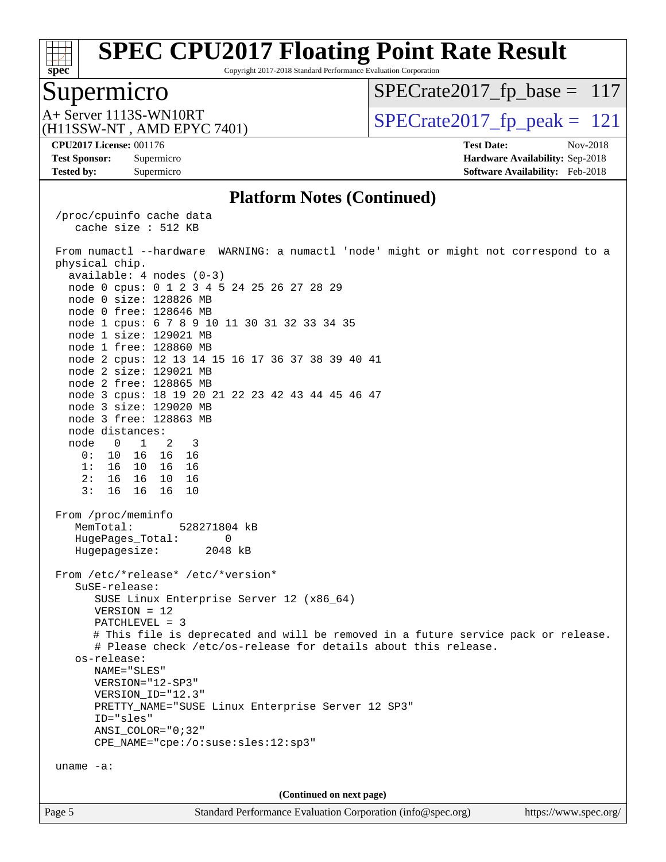

Copyright 2017-2018 Standard Performance Evaluation Corporation

### Supermicro

 $SPECrate2017_fp\_base = 117$ 

(H11SSW-NT , AMD EPYC 7401)

 $A+$  Server 1113S-WN10RT  $\begin{array}{|l|l|}\n\hline\n\text{A+Server 1113S-WN10RT}\n\hline\n\text{A+Server 1113S-WN10RT}\n\hline\n\end{array}$ 

**[CPU2017 License:](http://www.spec.org/auto/cpu2017/Docs/result-fields.html#CPU2017License)** 001176 **[Test Date:](http://www.spec.org/auto/cpu2017/Docs/result-fields.html#TestDate)** Nov-2018

**[Test Sponsor:](http://www.spec.org/auto/cpu2017/Docs/result-fields.html#TestSponsor)** Supermicro **[Hardware Availability:](http://www.spec.org/auto/cpu2017/Docs/result-fields.html#HardwareAvailability)** Sep-2018 **[Tested by:](http://www.spec.org/auto/cpu2017/Docs/result-fields.html#Testedby)** Supermicro **[Software Availability:](http://www.spec.org/auto/cpu2017/Docs/result-fields.html#SoftwareAvailability)** Feb-2018

#### **[Platform Notes \(Continued\)](http://www.spec.org/auto/cpu2017/Docs/result-fields.html#PlatformNotes)**

Page 5 Standard Performance Evaluation Corporation [\(info@spec.org\)](mailto:info@spec.org) <https://www.spec.org/> /proc/cpuinfo cache data cache size : 512 KB From numactl --hardware WARNING: a numactl 'node' might or might not correspond to a physical chip. available: 4 nodes (0-3) node 0 cpus: 0 1 2 3 4 5 24 25 26 27 28 29 node 0 size: 128826 MB node 0 free: 128646 MB node 1 cpus: 6 7 8 9 10 11 30 31 32 33 34 35 node 1 size: 129021 MB node 1 free: 128860 MB node 2 cpus: 12 13 14 15 16 17 36 37 38 39 40 41 node 2 size: 129021 MB node 2 free: 128865 MB node 3 cpus: 18 19 20 21 22 23 42 43 44 45 46 47 node 3 size: 129020 MB node 3 free: 128863 MB node distances: node 0 1 2 3 0: 10 16 16 16 1: 16 10 16 16 2: 16 16 10 16 3: 16 16 16 10 From /proc/meminfo MemTotal: 528271804 kB HugePages\_Total: 0 Hugepagesize: 2048 kB From /etc/\*release\* /etc/\*version\* SuSE-release: SUSE Linux Enterprise Server 12 (x86\_64) VERSION = 12 PATCHLEVEL = 3 # This file is deprecated and will be removed in a future service pack or release. # Please check /etc/os-release for details about this release. os-release: NAME="SLES" VERSION="12-SP3" VERSION\_ID="12.3" PRETTY\_NAME="SUSE Linux Enterprise Server 12 SP3" ID="sles" ANSI\_COLOR="0;32" CPE\_NAME="cpe:/o:suse:sles:12:sp3" uname -a: **(Continued on next page)**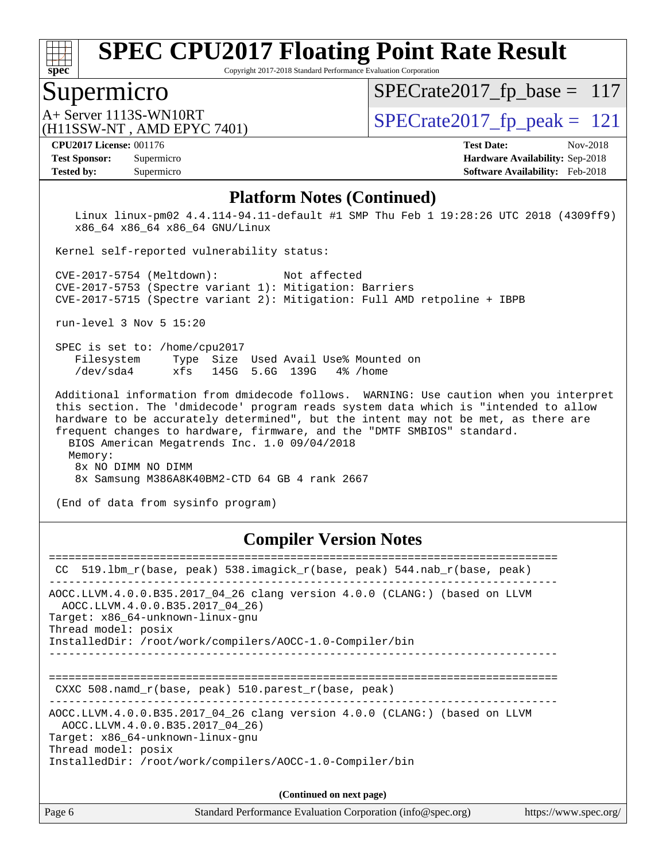

Copyright 2017-2018 Standard Performance Evaluation Corporation

### Supermicro

[SPECrate2017\\_fp\\_base =](http://www.spec.org/auto/cpu2017/Docs/result-fields.html#SPECrate2017fpbase) 117

(H11SSW-NT , AMD EPYC 7401)

 $A+$  Server 1113S-WN10RT  $\begin{array}{|l|l|}\n\hline\n\text{A+Server 1113S-WN10RT}\n\hline\n\text{A+Server 1113S-WN10RT}\n\hline\n\end{array}$ 

#### **[CPU2017 License:](http://www.spec.org/auto/cpu2017/Docs/result-fields.html#CPU2017License)** 001176 **[Test Date:](http://www.spec.org/auto/cpu2017/Docs/result-fields.html#TestDate)** Nov-2018

**[Tested by:](http://www.spec.org/auto/cpu2017/Docs/result-fields.html#Testedby)** Supermicro **[Software Availability:](http://www.spec.org/auto/cpu2017/Docs/result-fields.html#SoftwareAvailability)** Feb-2018

**[Test Sponsor:](http://www.spec.org/auto/cpu2017/Docs/result-fields.html#TestSponsor)** Supermicro **[Hardware Availability:](http://www.spec.org/auto/cpu2017/Docs/result-fields.html#HardwareAvailability)** Sep-2018

#### **[Platform Notes \(Continued\)](http://www.spec.org/auto/cpu2017/Docs/result-fields.html#PlatformNotes)**

 Linux linux-pm02 4.4.114-94.11-default #1 SMP Thu Feb 1 19:28:26 UTC 2018 (4309ff9) x86\_64 x86\_64 x86\_64 GNU/Linux

Kernel self-reported vulnerability status:

 CVE-2017-5754 (Meltdown): Not affected CVE-2017-5753 (Spectre variant 1): Mitigation: Barriers CVE-2017-5715 (Spectre variant 2): Mitigation: Full AMD retpoline + IBPB

run-level 3 Nov 5 15:20

 SPEC is set to: /home/cpu2017 Filesystem Type Size Used Avail Use% Mounted on /dev/sda4 xfs 145G 5.6G 139G 4% /home

 Additional information from dmidecode follows. WARNING: Use caution when you interpret this section. The 'dmidecode' program reads system data which is "intended to allow hardware to be accurately determined", but the intent may not be met, as there are frequent changes to hardware, firmware, and the "DMTF SMBIOS" standard.

BIOS American Megatrends Inc. 1.0 09/04/2018

 Memory: 8x NO DIMM NO DIMM 8x Samsung M386A8K40BM2-CTD 64 GB 4 rank 2667

(End of data from sysinfo program)

#### **[Compiler Version Notes](http://www.spec.org/auto/cpu2017/Docs/result-fields.html#CompilerVersionNotes)**

| CC.    | 519.1bm_r(base, peak) 538.imagick_r(base, peak) 544.nab_r(base, peak)                                                                                                                                                                |
|--------|--------------------------------------------------------------------------------------------------------------------------------------------------------------------------------------------------------------------------------------|
|        | AOCC.LLVM.4.0.0.B35.2017 04 26 clang version 4.0.0 (CLANG:) (based on LLVM<br>AOCC.LLVM.4.0.0.B35.2017 04 26)<br>Target: x86 64-unknown-linux-gnu<br>Thread model: posix<br>InstalledDir: /root/work/compilers/AOCC-1.0-Compiler/bin |
|        | CXXC $508.namd_r(base, peak) 510.parest_r(base, peak)$                                                                                                                                                                               |
|        | AOCC.LLVM.4.0.0.B35.2017_04_26 clang version 4.0.0 (CLANG:) (based on LLVM<br>AOCC.LLVM.4.0.0.B35.2017 04 26)<br>Target: x86 64-unknown-linux-gnu<br>Thread model: posix<br>InstalledDir: /root/work/compilers/AOCC-1.0-Compiler/bin |
|        | (Continued on next page)                                                                                                                                                                                                             |
| Page 6 | Standard Performance Evaluation Corporation (info@spec.org)<br>https://www.spec.org/                                                                                                                                                 |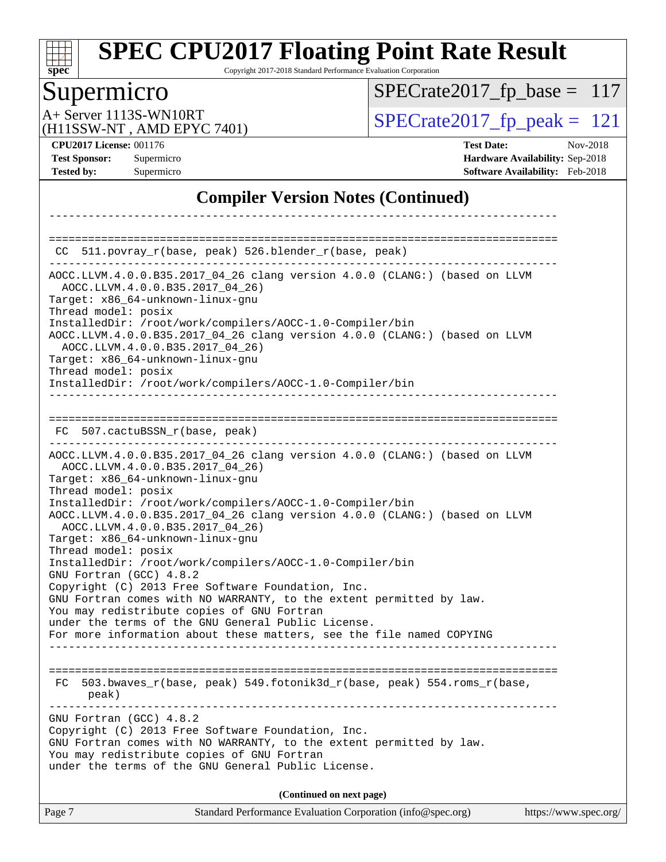

Copyright 2017-2018 Standard Performance Evaluation Corporation

# Supermicro<br>A+ Server 1113S-WN10RT

[SPECrate2017\\_fp\\_base =](http://www.spec.org/auto/cpu2017/Docs/result-fields.html#SPECrate2017fpbase) 117

(H11SSW-NT , AMD EPYC 7401)

 $SPECTate 2017_fp\_peak = 121$ 

**[CPU2017 License:](http://www.spec.org/auto/cpu2017/Docs/result-fields.html#CPU2017License)** 001176 **[Test Date:](http://www.spec.org/auto/cpu2017/Docs/result-fields.html#TestDate)** Nov-2018

**[Test Sponsor:](http://www.spec.org/auto/cpu2017/Docs/result-fields.html#TestSponsor)** Supermicro **[Hardware Availability:](http://www.spec.org/auto/cpu2017/Docs/result-fields.html#HardwareAvailability)** Sep-2018 **[Tested by:](http://www.spec.org/auto/cpu2017/Docs/result-fields.html#Testedby)** Supermicro **[Software Availability:](http://www.spec.org/auto/cpu2017/Docs/result-fields.html#SoftwareAvailability)** Feb-2018

### **[Compiler Version Notes \(Continued\)](http://www.spec.org/auto/cpu2017/Docs/result-fields.html#CompilerVersionNotes)**

| CC 511.povray_r(base, peak) 526.blender_r(base, peak)                                                                                                                                                                                                                                                                                                                                                                                                                                                                                                                                                                                                                                                                                                                                                           |                       |
|-----------------------------------------------------------------------------------------------------------------------------------------------------------------------------------------------------------------------------------------------------------------------------------------------------------------------------------------------------------------------------------------------------------------------------------------------------------------------------------------------------------------------------------------------------------------------------------------------------------------------------------------------------------------------------------------------------------------------------------------------------------------------------------------------------------------|-----------------------|
| AOCC.LLVM.4.0.0.B35.2017_04_26 clang version 4.0.0 (CLANG:) (based on LLVM<br>AOCC.LLVM.4.0.0.B35.2017_04_26)<br>Target: x86_64-unknown-linux-gnu<br>Thread model: posix<br>InstalledDir: /root/work/compilers/AOCC-1.0-Compiler/bin<br>AOCC.LLVM.4.0.0.B35.2017_04_26 clang version 4.0.0 (CLANG:) (based on LLVM<br>AOCC.LLVM.4.0.0.B35.2017_04_26)<br>Target: x86_64-unknown-linux-gnu<br>Thread model: posix<br>InstalledDir: /root/work/compilers/AOCC-1.0-Compiler/bin                                                                                                                                                                                                                                                                                                                                    |                       |
| FC 507.cactuBSSN_r(base, peak)                                                                                                                                                                                                                                                                                                                                                                                                                                                                                                                                                                                                                                                                                                                                                                                  |                       |
| AOCC.LLVM.4.0.0.B35.2017_04_26 clang version 4.0.0 (CLANG:) (based on LLVM<br>AOCC.LLVM.4.0.0.B35.2017 04 26)<br>Target: x86_64-unknown-linux-gnu<br>Thread model: posix<br>InstalledDir: /root/work/compilers/AOCC-1.0-Compiler/bin<br>AOCC.LLVM.4.0.0.B35.2017_04_26 clang version 4.0.0 (CLANG:) (based on LLVM<br>AOCC.LLVM.4.0.0.B35.2017_04_26)<br>Target: x86_64-unknown-linux-gnu<br>Thread model: posix<br>InstalledDir: /root/work/compilers/AOCC-1.0-Compiler/bin<br>GNU Fortran (GCC) 4.8.2<br>Copyright (C) 2013 Free Software Foundation, Inc.<br>GNU Fortran comes with NO WARRANTY, to the extent permitted by law.<br>You may redistribute copies of GNU Fortran<br>under the terms of the GNU General Public License.<br>For more information about these matters, see the file named COPYING |                       |
| 503.bwaves_r(base, peak) 549.fotonik3d_r(base, peak) 554.roms_r(base,<br>FC.<br>peak)                                                                                                                                                                                                                                                                                                                                                                                                                                                                                                                                                                                                                                                                                                                           |                       |
| GNU Fortran (GCC) 4.8.2<br>Copyright (C) 2013 Free Software Foundation, Inc.<br>GNU Fortran comes with NO WARRANTY, to the extent permitted by law.<br>You may redistribute copies of GNU Fortran<br>under the terms of the GNU General Public License.                                                                                                                                                                                                                                                                                                                                                                                                                                                                                                                                                         |                       |
| (Continued on next page)                                                                                                                                                                                                                                                                                                                                                                                                                                                                                                                                                                                                                                                                                                                                                                                        |                       |
| Standard Performance Evaluation Corporation (info@spec.org)<br>Page 7                                                                                                                                                                                                                                                                                                                                                                                                                                                                                                                                                                                                                                                                                                                                           | https://www.spec.org/ |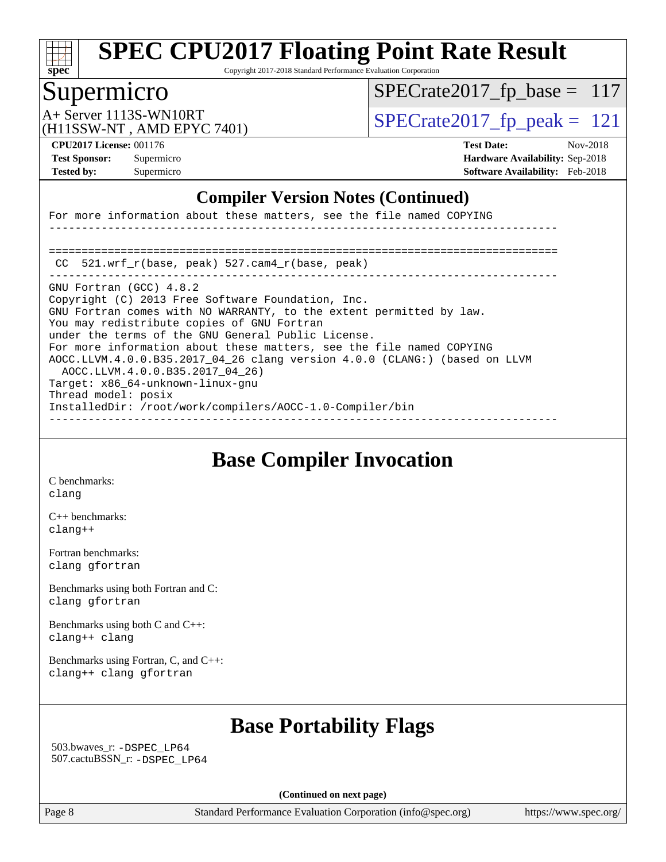

Copyright 2017-2018 Standard Performance Evaluation Corporation

## Supermicro

 $SPECTate2017_fp\_base = 117$ 

(H11SSW-NT , AMD EPYC 7401)

A+ Server 1113S-WN10RT  $\vert$  [SPECrate2017\\_fp\\_peak =](http://www.spec.org/auto/cpu2017/Docs/result-fields.html#SPECrate2017fppeak) 121

**[CPU2017 License:](http://www.spec.org/auto/cpu2017/Docs/result-fields.html#CPU2017License)** 001176 **[Test Date:](http://www.spec.org/auto/cpu2017/Docs/result-fields.html#TestDate)** Nov-2018 **[Test Sponsor:](http://www.spec.org/auto/cpu2017/Docs/result-fields.html#TestSponsor)** Supermicro **[Hardware Availability:](http://www.spec.org/auto/cpu2017/Docs/result-fields.html#HardwareAvailability)** Sep-2018 **[Tested by:](http://www.spec.org/auto/cpu2017/Docs/result-fields.html#Testedby)** Supermicro **[Software Availability:](http://www.spec.org/auto/cpu2017/Docs/result-fields.html#SoftwareAvailability)** Feb-2018

### **[Compiler Version Notes \(Continued\)](http://www.spec.org/auto/cpu2017/Docs/result-fields.html#CompilerVersionNotes)**

For more information about these matters, see the file named COPYING ------------------------------------------------------------------------------ ============================================================================== CC 521.wrf\_r(base, peak) 527.cam4\_r(base, peak) ------------------------------------------------------------------------------ GNU Fortran (GCC) 4.8.2 Copyright (C) 2013 Free Software Foundation, Inc. GNU Fortran comes with NO WARRANTY, to the extent permitted by law. You may redistribute copies of GNU Fortran under the terms of the GNU General Public License. For more information about these matters, see the file named COPYING AOCC.LLVM.4.0.0.B35.2017\_04\_26 clang version 4.0.0 (CLANG:) (based on LLVM AOCC.LLVM.4.0.0.B35.2017\_04\_26) Target: x86\_64-unknown-linux-gnu Thread model: posix InstalledDir: /root/work/compilers/AOCC-1.0-Compiler/bin ------------------------------------------------------------------------------

### **[Base Compiler Invocation](http://www.spec.org/auto/cpu2017/Docs/result-fields.html#BaseCompilerInvocation)**

[C benchmarks](http://www.spec.org/auto/cpu2017/Docs/result-fields.html#Cbenchmarks): [clang](http://www.spec.org/cpu2017/results/res2018q4/cpu2017-20181112-09560.flags.html#user_CCbase_Fclang3_a68b77bfed473bd9cdd22529af008e8306c2e3948617c8991604c1a2000ee4a73ef90dd8bc793e105fe4165a625d26dacbda4708d828ad19048918c071b363ec)

[C++ benchmarks:](http://www.spec.org/auto/cpu2017/Docs/result-fields.html#CXXbenchmarks) [clang++](http://www.spec.org/cpu2017/results/res2018q4/cpu2017-20181112-09560.flags.html#user_CXXbase_Fclang3_57a48582e5be507d19b2527b3e7d4f85d9b8669ffc9a8a0dbb9bcf949a918a58bbab411e0c4d14a3922022a3e425a90db94042683824c1806feff4324ca1000d)

[Fortran benchmarks](http://www.spec.org/auto/cpu2017/Docs/result-fields.html#Fortranbenchmarks): [clang](http://www.spec.org/cpu2017/results/res2018q4/cpu2017-20181112-09560.flags.html#user_FCbase_Fclang3_a68b77bfed473bd9cdd22529af008e8306c2e3948617c8991604c1a2000ee4a73ef90dd8bc793e105fe4165a625d26dacbda4708d828ad19048918c071b363ec) [gfortran](http://www.spec.org/cpu2017/results/res2018q4/cpu2017-20181112-09560.flags.html#user_FCbase_aocc-gfortran_128c91a56d61ddb07404721e65b8f9498c31a443dacbd3b7f212891090eca86e2d099b520f75b99e9e8ac4fdec01f4d15f0b65e47123ec4c42b0759045731a1f)

[Benchmarks using both Fortran and C](http://www.spec.org/auto/cpu2017/Docs/result-fields.html#BenchmarksusingbothFortranandC): [clang](http://www.spec.org/cpu2017/results/res2018q4/cpu2017-20181112-09560.flags.html#user_CC_FCbase_Fclang3_a68b77bfed473bd9cdd22529af008e8306c2e3948617c8991604c1a2000ee4a73ef90dd8bc793e105fe4165a625d26dacbda4708d828ad19048918c071b363ec) [gfortran](http://www.spec.org/cpu2017/results/res2018q4/cpu2017-20181112-09560.flags.html#user_CC_FCbase_aocc-gfortran_128c91a56d61ddb07404721e65b8f9498c31a443dacbd3b7f212891090eca86e2d099b520f75b99e9e8ac4fdec01f4d15f0b65e47123ec4c42b0759045731a1f)

[Benchmarks using both C and C++](http://www.spec.org/auto/cpu2017/Docs/result-fields.html#BenchmarksusingbothCandCXX): [clang++](http://www.spec.org/cpu2017/results/res2018q4/cpu2017-20181112-09560.flags.html#user_CC_CXXbase_Fclang3_57a48582e5be507d19b2527b3e7d4f85d9b8669ffc9a8a0dbb9bcf949a918a58bbab411e0c4d14a3922022a3e425a90db94042683824c1806feff4324ca1000d) [clang](http://www.spec.org/cpu2017/results/res2018q4/cpu2017-20181112-09560.flags.html#user_CC_CXXbase_Fclang3_a68b77bfed473bd9cdd22529af008e8306c2e3948617c8991604c1a2000ee4a73ef90dd8bc793e105fe4165a625d26dacbda4708d828ad19048918c071b363ec)

[Benchmarks using Fortran, C, and C++:](http://www.spec.org/auto/cpu2017/Docs/result-fields.html#BenchmarksusingFortranCandCXX) [clang++](http://www.spec.org/cpu2017/results/res2018q4/cpu2017-20181112-09560.flags.html#user_CC_CXX_FCbase_Fclang3_57a48582e5be507d19b2527b3e7d4f85d9b8669ffc9a8a0dbb9bcf949a918a58bbab411e0c4d14a3922022a3e425a90db94042683824c1806feff4324ca1000d) [clang](http://www.spec.org/cpu2017/results/res2018q4/cpu2017-20181112-09560.flags.html#user_CC_CXX_FCbase_Fclang3_a68b77bfed473bd9cdd22529af008e8306c2e3948617c8991604c1a2000ee4a73ef90dd8bc793e105fe4165a625d26dacbda4708d828ad19048918c071b363ec) [gfortran](http://www.spec.org/cpu2017/results/res2018q4/cpu2017-20181112-09560.flags.html#user_CC_CXX_FCbase_aocc-gfortran_128c91a56d61ddb07404721e65b8f9498c31a443dacbd3b7f212891090eca86e2d099b520f75b99e9e8ac4fdec01f4d15f0b65e47123ec4c42b0759045731a1f)

# **[Base Portability Flags](http://www.spec.org/auto/cpu2017/Docs/result-fields.html#BasePortabilityFlags)**

 503.bwaves\_r: [-DSPEC\\_LP64](http://www.spec.org/cpu2017/results/res2018q4/cpu2017-20181112-09560.flags.html#suite_baseEXTRA_PORTABILITY503_bwaves_r_DSPEC_LP64) 507.cactuBSSN\_r: [-DSPEC\\_LP64](http://www.spec.org/cpu2017/results/res2018q4/cpu2017-20181112-09560.flags.html#suite_baseEXTRA_PORTABILITY507_cactuBSSN_r_DSPEC_LP64)

**(Continued on next page)**

Page 8 Standard Performance Evaluation Corporation [\(info@spec.org\)](mailto:info@spec.org) <https://www.spec.org/>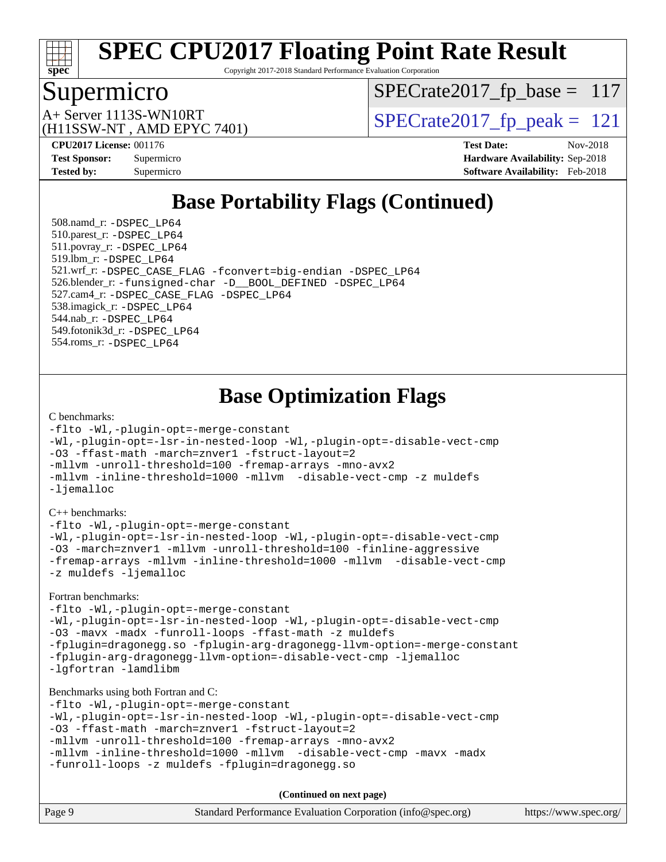

Copyright 2017-2018 Standard Performance Evaluation Corporation

### Supermicro

 $SPECrate2017_fp\_base = 117$ 

(H11SSW-NT , AMD EPYC 7401)

 $A+$  Server 1113S-WN10RT  $\begin{array}{|l|l|}\n\hline\n\text{A+Server 1113S-WN10RT}\n\hline\n\text{A+Server 1113S-WN10RT}\n\hline\n\end{array}$ 

**[CPU2017 License:](http://www.spec.org/auto/cpu2017/Docs/result-fields.html#CPU2017License)** 001176 **[Test Date:](http://www.spec.org/auto/cpu2017/Docs/result-fields.html#TestDate)** Nov-2018 **[Test Sponsor:](http://www.spec.org/auto/cpu2017/Docs/result-fields.html#TestSponsor)** Supermicro **[Hardware Availability:](http://www.spec.org/auto/cpu2017/Docs/result-fields.html#HardwareAvailability)** Sep-2018 **[Tested by:](http://www.spec.org/auto/cpu2017/Docs/result-fields.html#Testedby)** Supermicro **[Software Availability:](http://www.spec.org/auto/cpu2017/Docs/result-fields.html#SoftwareAvailability)** Feb-2018

# **[Base Portability Flags \(Continued\)](http://www.spec.org/auto/cpu2017/Docs/result-fields.html#BasePortabilityFlags)**

 508.namd\_r: [-DSPEC\\_LP64](http://www.spec.org/cpu2017/results/res2018q4/cpu2017-20181112-09560.flags.html#suite_baseEXTRA_PORTABILITY508_namd_r_DSPEC_LP64) 510.parest\_r: [-DSPEC\\_LP64](http://www.spec.org/cpu2017/results/res2018q4/cpu2017-20181112-09560.flags.html#suite_baseEXTRA_PORTABILITY510_parest_r_DSPEC_LP64) 511.povray\_r: [-DSPEC\\_LP64](http://www.spec.org/cpu2017/results/res2018q4/cpu2017-20181112-09560.flags.html#suite_baseEXTRA_PORTABILITY511_povray_r_DSPEC_LP64) 519.lbm\_r: [-DSPEC\\_LP64](http://www.spec.org/cpu2017/results/res2018q4/cpu2017-20181112-09560.flags.html#suite_baseEXTRA_PORTABILITY519_lbm_r_DSPEC_LP64) 521.wrf\_r: [-DSPEC\\_CASE\\_FLAG](http://www.spec.org/cpu2017/results/res2018q4/cpu2017-20181112-09560.flags.html#b521.wrf_r_baseCPORTABILITY_DSPEC_CASE_FLAG) [-fconvert=big-endian](http://www.spec.org/cpu2017/results/res2018q4/cpu2017-20181112-09560.flags.html#user_baseFPORTABILITY521_wrf_r_F-fconvert) [-DSPEC\\_LP64](http://www.spec.org/cpu2017/results/res2018q4/cpu2017-20181112-09560.flags.html#suite_baseEXTRA_PORTABILITY521_wrf_r_DSPEC_LP64) 526.blender\_r: [-funsigned-char](http://www.spec.org/cpu2017/results/res2018q4/cpu2017-20181112-09560.flags.html#user_baseCPORTABILITY526_blender_r_F-funsigned-char) [-D\\_\\_BOOL\\_DEFINED](http://www.spec.org/cpu2017/results/res2018q4/cpu2017-20181112-09560.flags.html#b526.blender_r_baseCXXPORTABILITY_D__BOOL_DEFINED) [-DSPEC\\_LP64](http://www.spec.org/cpu2017/results/res2018q4/cpu2017-20181112-09560.flags.html#suite_baseEXTRA_PORTABILITY526_blender_r_DSPEC_LP64) 527.cam4\_r: [-DSPEC\\_CASE\\_FLAG](http://www.spec.org/cpu2017/results/res2018q4/cpu2017-20181112-09560.flags.html#b527.cam4_r_basePORTABILITY_DSPEC_CASE_FLAG) [-DSPEC\\_LP64](http://www.spec.org/cpu2017/results/res2018q4/cpu2017-20181112-09560.flags.html#suite_baseEXTRA_PORTABILITY527_cam4_r_DSPEC_LP64) 538.imagick\_r: [-DSPEC\\_LP64](http://www.spec.org/cpu2017/results/res2018q4/cpu2017-20181112-09560.flags.html#suite_baseEXTRA_PORTABILITY538_imagick_r_DSPEC_LP64) 544.nab\_r: [-DSPEC\\_LP64](http://www.spec.org/cpu2017/results/res2018q4/cpu2017-20181112-09560.flags.html#suite_baseEXTRA_PORTABILITY544_nab_r_DSPEC_LP64) 549.fotonik3d\_r: [-DSPEC\\_LP64](http://www.spec.org/cpu2017/results/res2018q4/cpu2017-20181112-09560.flags.html#suite_baseEXTRA_PORTABILITY549_fotonik3d_r_DSPEC_LP64) 554.roms\_r: [-DSPEC\\_LP64](http://www.spec.org/cpu2017/results/res2018q4/cpu2017-20181112-09560.flags.html#suite_baseEXTRA_PORTABILITY554_roms_r_DSPEC_LP64)

**[Base Optimization Flags](http://www.spec.org/auto/cpu2017/Docs/result-fields.html#BaseOptimizationFlags)**

#### [C benchmarks](http://www.spec.org/auto/cpu2017/Docs/result-fields.html#Cbenchmarks):

```
-flto -Wl,-plugin-opt=-merge-constant
-Wl,-plugin-opt=-lsr-in-nested-loop -Wl,-plugin-opt=-disable-vect-cmp
-O3 -ffast-math -march=znver1 -fstruct-layout=2
-mllvm -unroll-threshold=100 -fremap-arrays -mno-avx2
-mllvm -inline-threshold=1000 -mllvm -disable-vect-cmp -z muldefs
-ljemalloc
```
[C++ benchmarks:](http://www.spec.org/auto/cpu2017/Docs/result-fields.html#CXXbenchmarks)

[-flto](http://www.spec.org/cpu2017/results/res2018q4/cpu2017-20181112-09560.flags.html#user_CXXbase_lto) [-Wl,-plugin-opt=-merge-constant](http://www.spec.org/cpu2017/results/res2018q4/cpu2017-20181112-09560.flags.html#user_CXXbase_F-merge-constant_1d79771b5442061d9c8e05556c6b0c655e6c9e66f8c6936b0129d434b6acd2b1cf1b7cd2540d1570ff636111b08a6bc36e2e61fc34531f8ef7c1a34c57be1dbb) [-Wl,-plugin-opt=-lsr-in-nested-loop](http://www.spec.org/cpu2017/results/res2018q4/cpu2017-20181112-09560.flags.html#user_CXXbase_lsr-in-nested-loop_1cff93fd95162f5e77640b5271e8bed680fb62b4a8d96fb8ab217ff3244646f1fbb342e31af83c263403bbf5249c7dc7732d5c86c3eab4cc8d32dcb7a6f33ca0) [-Wl,-plugin-opt=-disable-vect-cmp](http://www.spec.org/cpu2017/results/res2018q4/cpu2017-20181112-09560.flags.html#user_CXXbase_disable-vect-cmp_1056b9a09b8ddc126e023b5f99ae33179ef568835465af9b7adeacf4b6480ff575c8aee439265bcfbcbf086f33f2fa5cca2bc4cf52b64c0cd2e10f6503cba02d) [-O3](http://www.spec.org/cpu2017/results/res2018q4/cpu2017-20181112-09560.flags.html#user_CXXbase_F-O3) [-march=znver1](http://www.spec.org/cpu2017/results/res2018q4/cpu2017-20181112-09560.flags.html#user_CXXbase_F-march) [-mllvm -unroll-threshold=100](http://www.spec.org/cpu2017/results/res2018q4/cpu2017-20181112-09560.flags.html#user_CXXbase_F-unroll-threshold_2755d0c78138845d361fa1543e3a063fffa198df9b3edf0cfb856bbc88a81e1769b12ac7a550c5d35197be55360db1a3f95a8d1304df999456cabf5120c45168) [-finline-aggressive](http://www.spec.org/cpu2017/results/res2018q4/cpu2017-20181112-09560.flags.html#user_CXXbase_F-finline-aggressive) [-fremap-arrays](http://www.spec.org/cpu2017/results/res2018q4/cpu2017-20181112-09560.flags.html#user_CXXbase_F-fremap-arrays) [-mllvm -inline-threshold=1000](http://www.spec.org/cpu2017/results/res2018q4/cpu2017-20181112-09560.flags.html#user_CXXbase_inline-threshold_b7832241b0a6397e4ecdbaf0eb7defdc10f885c2a282fa3240fdc99844d543fda39cf8a4a9dccf68cf19b5438ac3b455264f478df15da0f4988afa40d8243bab) [-mllvm -disable-vect-cmp](http://www.spec.org/cpu2017/results/res2018q4/cpu2017-20181112-09560.flags.html#user_CXXbase_disable-vect-cmp_d995c9eb800469498c6893dc847c54c903d59847b18cb2ac22011b9af7010c96d2d48d3c6b41246fe86945001509aa4dc528afb61cb238fd3b256a31781ea0cf) [-z muldefs](http://www.spec.org/cpu2017/results/res2018q4/cpu2017-20181112-09560.flags.html#user_CXXbase_F-z-muldefs) [-ljemalloc](http://www.spec.org/cpu2017/results/res2018q4/cpu2017-20181112-09560.flags.html#user_CXXbase_jemalloc-lib_d1249b907c500fa1c0672f44f562e3d0f79738ae9e3c4a9c376d49f265a04b9c99b167ecedbf6711b3085be911c67ff61f150a17b3472be731631ba4d0471706)

[Fortran benchmarks](http://www.spec.org/auto/cpu2017/Docs/result-fields.html#Fortranbenchmarks):

[-flto](http://www.spec.org/cpu2017/results/res2018q4/cpu2017-20181112-09560.flags.html#user_FCbase_lto) [-Wl,-plugin-opt=-merge-constant](http://www.spec.org/cpu2017/results/res2018q4/cpu2017-20181112-09560.flags.html#user_FCbase_F-merge-constant_1d79771b5442061d9c8e05556c6b0c655e6c9e66f8c6936b0129d434b6acd2b1cf1b7cd2540d1570ff636111b08a6bc36e2e61fc34531f8ef7c1a34c57be1dbb) [-Wl,-plugin-opt=-lsr-in-nested-loop](http://www.spec.org/cpu2017/results/res2018q4/cpu2017-20181112-09560.flags.html#user_FCbase_lsr-in-nested-loop_1cff93fd95162f5e77640b5271e8bed680fb62b4a8d96fb8ab217ff3244646f1fbb342e31af83c263403bbf5249c7dc7732d5c86c3eab4cc8d32dcb7a6f33ca0) [-Wl,-plugin-opt=-disable-vect-cmp](http://www.spec.org/cpu2017/results/res2018q4/cpu2017-20181112-09560.flags.html#user_FCbase_disable-vect-cmp_1056b9a09b8ddc126e023b5f99ae33179ef568835465af9b7adeacf4b6480ff575c8aee439265bcfbcbf086f33f2fa5cca2bc4cf52b64c0cd2e10f6503cba02d) [-O3](http://www.spec.org/cpu2017/results/res2018q4/cpu2017-20181112-09560.flags.html#user_FCbase_F-O3) [-mavx](http://www.spec.org/cpu2017/results/res2018q4/cpu2017-20181112-09560.flags.html#user_FCbase_F-mavx) [-madx](http://www.spec.org/cpu2017/results/res2018q4/cpu2017-20181112-09560.flags.html#user_FCbase_F-madx) [-funroll-loops](http://www.spec.org/cpu2017/results/res2018q4/cpu2017-20181112-09560.flags.html#user_FCbase_aocc-funroll-loops) [-ffast-math](http://www.spec.org/cpu2017/results/res2018q4/cpu2017-20181112-09560.flags.html#user_FCbase_F-aocc-ffast-math_78dd175de6534c2005829757b9b0f2878e57b067cce6f7c443b2250ac68890960e2e1b320ca04b81ff7c62c6f87870ed05f06baf7875eea2990d38e3b73c71f1) [-z muldefs](http://www.spec.org/cpu2017/results/res2018q4/cpu2017-20181112-09560.flags.html#user_FCbase_F-z-muldefs) [-fplugin=dragonegg.so](http://www.spec.org/cpu2017/results/res2018q4/cpu2017-20181112-09560.flags.html#user_FCbase_F-fpluginDragonEgg) [-fplugin-arg-dragonegg-llvm-option=-merge-constant](http://www.spec.org/cpu2017/results/res2018q4/cpu2017-20181112-09560.flags.html#user_FCbase_F-merge-constant_37fd66d07a4fbae8f1b816e843c3ed1ebaa48f794b65ea8be746a1880566a3d23eba4a3c37b5c024650311adcf9247c62af28144803b3729b14be14423fa5142) [-fplugin-arg-dragonegg-llvm-option=-disable-vect-cmp](http://www.spec.org/cpu2017/results/res2018q4/cpu2017-20181112-09560.flags.html#user_FCbase_disable-vect-cmp_d119dd6f96524d64dc477d5e6a72268aebe046b42f767098038bf7530fc0cc546dd329b2376104fde185baca14f7365ef86ccd3ff602b57a7839de005478f594) [-ljemalloc](http://www.spec.org/cpu2017/results/res2018q4/cpu2017-20181112-09560.flags.html#user_FCbase_jemalloc-lib_d1249b907c500fa1c0672f44f562e3d0f79738ae9e3c4a9c376d49f265a04b9c99b167ecedbf6711b3085be911c67ff61f150a17b3472be731631ba4d0471706) [-lgfortran](http://www.spec.org/cpu2017/results/res2018q4/cpu2017-20181112-09560.flags.html#user_FCbase_F-lgfortran) [-lamdlibm](http://www.spec.org/cpu2017/results/res2018q4/cpu2017-20181112-09560.flags.html#user_FCbase_F-lamdlibm)

[Benchmarks using both Fortran and C](http://www.spec.org/auto/cpu2017/Docs/result-fields.html#BenchmarksusingbothFortranandC):

[-flto](http://www.spec.org/cpu2017/results/res2018q4/cpu2017-20181112-09560.flags.html#user_CC_FCbase_lto) [-Wl,-plugin-opt=-merge-constant](http://www.spec.org/cpu2017/results/res2018q4/cpu2017-20181112-09560.flags.html#user_CC_FCbase_F-merge-constant_1d79771b5442061d9c8e05556c6b0c655e6c9e66f8c6936b0129d434b6acd2b1cf1b7cd2540d1570ff636111b08a6bc36e2e61fc34531f8ef7c1a34c57be1dbb) [-Wl,-plugin-opt=-lsr-in-nested-loop](http://www.spec.org/cpu2017/results/res2018q4/cpu2017-20181112-09560.flags.html#user_CC_FCbase_lsr-in-nested-loop_1cff93fd95162f5e77640b5271e8bed680fb62b4a8d96fb8ab217ff3244646f1fbb342e31af83c263403bbf5249c7dc7732d5c86c3eab4cc8d32dcb7a6f33ca0) [-Wl,-plugin-opt=-disable-vect-cmp](http://www.spec.org/cpu2017/results/res2018q4/cpu2017-20181112-09560.flags.html#user_CC_FCbase_disable-vect-cmp_1056b9a09b8ddc126e023b5f99ae33179ef568835465af9b7adeacf4b6480ff575c8aee439265bcfbcbf086f33f2fa5cca2bc4cf52b64c0cd2e10f6503cba02d) [-O3](http://www.spec.org/cpu2017/results/res2018q4/cpu2017-20181112-09560.flags.html#user_CC_FCbase_F-O3) [-ffast-math](http://www.spec.org/cpu2017/results/res2018q4/cpu2017-20181112-09560.flags.html#user_CC_FCbase_F-aocc-ffast-math_78dd175de6534c2005829757b9b0f2878e57b067cce6f7c443b2250ac68890960e2e1b320ca04b81ff7c62c6f87870ed05f06baf7875eea2990d38e3b73c71f1) [-march=znver1](http://www.spec.org/cpu2017/results/res2018q4/cpu2017-20181112-09560.flags.html#user_CC_FCbase_F-march) [-fstruct-layout=2](http://www.spec.org/cpu2017/results/res2018q4/cpu2017-20181112-09560.flags.html#user_CC_FCbase_F-fstruct-layout_a05ec02e17cdf7fe0c3950a6b005251b2b1e5e67af2b5298cf72714730c3d59ba290e75546b10aa22dac074c15ceaca36ae22c62cb51bcb2fbdc9dc4e7e222c4) [-mllvm -unroll-threshold=100](http://www.spec.org/cpu2017/results/res2018q4/cpu2017-20181112-09560.flags.html#user_CC_FCbase_F-unroll-threshold_2755d0c78138845d361fa1543e3a063fffa198df9b3edf0cfb856bbc88a81e1769b12ac7a550c5d35197be55360db1a3f95a8d1304df999456cabf5120c45168) [-fremap-arrays](http://www.spec.org/cpu2017/results/res2018q4/cpu2017-20181112-09560.flags.html#user_CC_FCbase_F-fremap-arrays) [-mno-avx2](http://www.spec.org/cpu2017/results/res2018q4/cpu2017-20181112-09560.flags.html#user_CC_FCbase_F-mno-avx2) [-mllvm -inline-threshold=1000](http://www.spec.org/cpu2017/results/res2018q4/cpu2017-20181112-09560.flags.html#user_CC_FCbase_inline-threshold_b7832241b0a6397e4ecdbaf0eb7defdc10f885c2a282fa3240fdc99844d543fda39cf8a4a9dccf68cf19b5438ac3b455264f478df15da0f4988afa40d8243bab) [-mllvm -disable-vect-cmp](http://www.spec.org/cpu2017/results/res2018q4/cpu2017-20181112-09560.flags.html#user_CC_FCbase_disable-vect-cmp_d995c9eb800469498c6893dc847c54c903d59847b18cb2ac22011b9af7010c96d2d48d3c6b41246fe86945001509aa4dc528afb61cb238fd3b256a31781ea0cf) [-mavx](http://www.spec.org/cpu2017/results/res2018q4/cpu2017-20181112-09560.flags.html#user_CC_FCbase_F-mavx) [-madx](http://www.spec.org/cpu2017/results/res2018q4/cpu2017-20181112-09560.flags.html#user_CC_FCbase_F-madx) [-funroll-loops](http://www.spec.org/cpu2017/results/res2018q4/cpu2017-20181112-09560.flags.html#user_CC_FCbase_aocc-funroll-loops) [-z muldefs](http://www.spec.org/cpu2017/results/res2018q4/cpu2017-20181112-09560.flags.html#user_CC_FCbase_F-z-muldefs) [-fplugin=dragonegg.so](http://www.spec.org/cpu2017/results/res2018q4/cpu2017-20181112-09560.flags.html#user_CC_FCbase_F-fpluginDragonEgg)

Page 9 Standard Performance Evaluation Corporation [\(info@spec.org\)](mailto:info@spec.org) <https://www.spec.org/> **(Continued on next page)**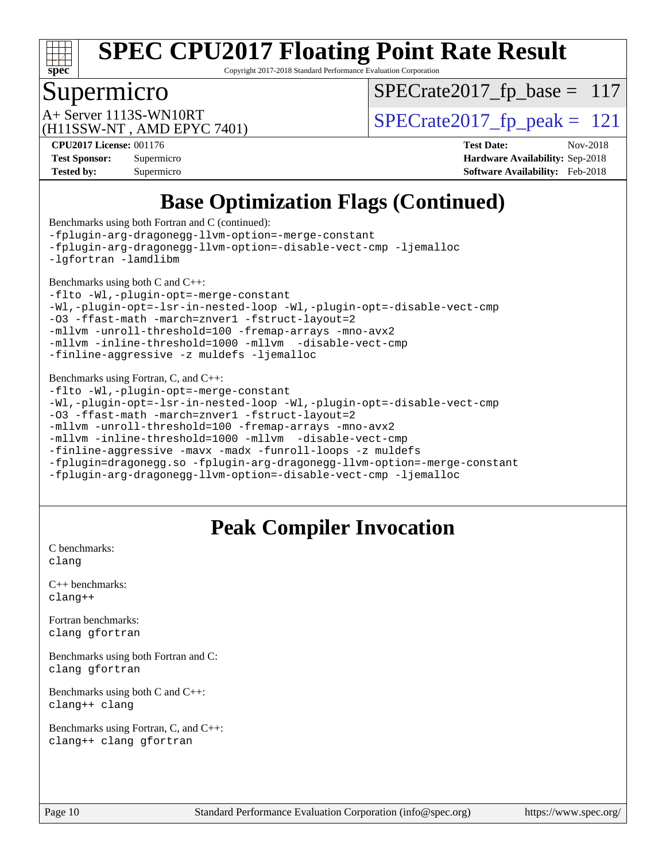

Copyright 2017-2018 Standard Performance Evaluation Corporation

# Supermicro

 $SPECrate2017_fp\_base = 117$ 

(H11SSW-NT , AMD EPYC 7401)

 $A+$  Server 1113S-WN10RT  $\begin{array}{|l|l|}\n\hline\n\text{A+Server 1113S-WN10RT}\n\hline\n\text{A+Server 1113S-WN10RT}\n\hline\n\end{array}$ 

**[CPU2017 License:](http://www.spec.org/auto/cpu2017/Docs/result-fields.html#CPU2017License)** 001176 **[Test Date:](http://www.spec.org/auto/cpu2017/Docs/result-fields.html#TestDate)** Nov-2018 **[Test Sponsor:](http://www.spec.org/auto/cpu2017/Docs/result-fields.html#TestSponsor)** Supermicro **[Hardware Availability:](http://www.spec.org/auto/cpu2017/Docs/result-fields.html#HardwareAvailability)** Sep-2018 **[Tested by:](http://www.spec.org/auto/cpu2017/Docs/result-fields.html#Testedby)** Supermicro **[Software Availability:](http://www.spec.org/auto/cpu2017/Docs/result-fields.html#SoftwareAvailability)** Feb-2018

# **[Base Optimization Flags \(Continued\)](http://www.spec.org/auto/cpu2017/Docs/result-fields.html#BaseOptimizationFlags)**

[Benchmarks using both Fortran and C](http://www.spec.org/auto/cpu2017/Docs/result-fields.html#BenchmarksusingbothFortranandC) (continued): [-fplugin-arg-dragonegg-llvm-option=-merge-constant](http://www.spec.org/cpu2017/results/res2018q4/cpu2017-20181112-09560.flags.html#user_CC_FCbase_F-merge-constant_37fd66d07a4fbae8f1b816e843c3ed1ebaa48f794b65ea8be746a1880566a3d23eba4a3c37b5c024650311adcf9247c62af28144803b3729b14be14423fa5142) [-fplugin-arg-dragonegg-llvm-option=-disable-vect-cmp](http://www.spec.org/cpu2017/results/res2018q4/cpu2017-20181112-09560.flags.html#user_CC_FCbase_disable-vect-cmp_d119dd6f96524d64dc477d5e6a72268aebe046b42f767098038bf7530fc0cc546dd329b2376104fde185baca14f7365ef86ccd3ff602b57a7839de005478f594) [-ljemalloc](http://www.spec.org/cpu2017/results/res2018q4/cpu2017-20181112-09560.flags.html#user_CC_FCbase_jemalloc-lib_d1249b907c500fa1c0672f44f562e3d0f79738ae9e3c4a9c376d49f265a04b9c99b167ecedbf6711b3085be911c67ff61f150a17b3472be731631ba4d0471706) [-lgfortran](http://www.spec.org/cpu2017/results/res2018q4/cpu2017-20181112-09560.flags.html#user_CC_FCbase_F-lgfortran) [-lamdlibm](http://www.spec.org/cpu2017/results/res2018q4/cpu2017-20181112-09560.flags.html#user_CC_FCbase_F-lamdlibm) [Benchmarks using both C and C++](http://www.spec.org/auto/cpu2017/Docs/result-fields.html#BenchmarksusingbothCandCXX): [-flto](http://www.spec.org/cpu2017/results/res2018q4/cpu2017-20181112-09560.flags.html#user_CC_CXXbase_lto) [-Wl,-plugin-opt=-merge-constant](http://www.spec.org/cpu2017/results/res2018q4/cpu2017-20181112-09560.flags.html#user_CC_CXXbase_F-merge-constant_1d79771b5442061d9c8e05556c6b0c655e6c9e66f8c6936b0129d434b6acd2b1cf1b7cd2540d1570ff636111b08a6bc36e2e61fc34531f8ef7c1a34c57be1dbb) [-Wl,-plugin-opt=-lsr-in-nested-loop](http://www.spec.org/cpu2017/results/res2018q4/cpu2017-20181112-09560.flags.html#user_CC_CXXbase_lsr-in-nested-loop_1cff93fd95162f5e77640b5271e8bed680fb62b4a8d96fb8ab217ff3244646f1fbb342e31af83c263403bbf5249c7dc7732d5c86c3eab4cc8d32dcb7a6f33ca0) [-Wl,-plugin-opt=-disable-vect-cmp](http://www.spec.org/cpu2017/results/res2018q4/cpu2017-20181112-09560.flags.html#user_CC_CXXbase_disable-vect-cmp_1056b9a09b8ddc126e023b5f99ae33179ef568835465af9b7adeacf4b6480ff575c8aee439265bcfbcbf086f33f2fa5cca2bc4cf52b64c0cd2e10f6503cba02d) [-O3](http://www.spec.org/cpu2017/results/res2018q4/cpu2017-20181112-09560.flags.html#user_CC_CXXbase_F-O3) [-ffast-math](http://www.spec.org/cpu2017/results/res2018q4/cpu2017-20181112-09560.flags.html#user_CC_CXXbase_F-aocc-ffast-math_78dd175de6534c2005829757b9b0f2878e57b067cce6f7c443b2250ac68890960e2e1b320ca04b81ff7c62c6f87870ed05f06baf7875eea2990d38e3b73c71f1) [-march=znver1](http://www.spec.org/cpu2017/results/res2018q4/cpu2017-20181112-09560.flags.html#user_CC_CXXbase_F-march) [-fstruct-layout=2](http://www.spec.org/cpu2017/results/res2018q4/cpu2017-20181112-09560.flags.html#user_CC_CXXbase_F-fstruct-layout_a05ec02e17cdf7fe0c3950a6b005251b2b1e5e67af2b5298cf72714730c3d59ba290e75546b10aa22dac074c15ceaca36ae22c62cb51bcb2fbdc9dc4e7e222c4) [-mllvm -unroll-threshold=100](http://www.spec.org/cpu2017/results/res2018q4/cpu2017-20181112-09560.flags.html#user_CC_CXXbase_F-unroll-threshold_2755d0c78138845d361fa1543e3a063fffa198df9b3edf0cfb856bbc88a81e1769b12ac7a550c5d35197be55360db1a3f95a8d1304df999456cabf5120c45168) [-fremap-arrays](http://www.spec.org/cpu2017/results/res2018q4/cpu2017-20181112-09560.flags.html#user_CC_CXXbase_F-fremap-arrays) [-mno-avx2](http://www.spec.org/cpu2017/results/res2018q4/cpu2017-20181112-09560.flags.html#user_CC_CXXbase_F-mno-avx2) [-mllvm -inline-threshold=1000](http://www.spec.org/cpu2017/results/res2018q4/cpu2017-20181112-09560.flags.html#user_CC_CXXbase_inline-threshold_b7832241b0a6397e4ecdbaf0eb7defdc10f885c2a282fa3240fdc99844d543fda39cf8a4a9dccf68cf19b5438ac3b455264f478df15da0f4988afa40d8243bab) [-mllvm -disable-vect-cmp](http://www.spec.org/cpu2017/results/res2018q4/cpu2017-20181112-09560.flags.html#user_CC_CXXbase_disable-vect-cmp_d995c9eb800469498c6893dc847c54c903d59847b18cb2ac22011b9af7010c96d2d48d3c6b41246fe86945001509aa4dc528afb61cb238fd3b256a31781ea0cf) [-finline-aggressive](http://www.spec.org/cpu2017/results/res2018q4/cpu2017-20181112-09560.flags.html#user_CC_CXXbase_F-finline-aggressive) [-z muldefs](http://www.spec.org/cpu2017/results/res2018q4/cpu2017-20181112-09560.flags.html#user_CC_CXXbase_F-z-muldefs) [-ljemalloc](http://www.spec.org/cpu2017/results/res2018q4/cpu2017-20181112-09560.flags.html#user_CC_CXXbase_jemalloc-lib_d1249b907c500fa1c0672f44f562e3d0f79738ae9e3c4a9c376d49f265a04b9c99b167ecedbf6711b3085be911c67ff61f150a17b3472be731631ba4d0471706) [Benchmarks using Fortran, C, and C++:](http://www.spec.org/auto/cpu2017/Docs/result-fields.html#BenchmarksusingFortranCandCXX) [-flto](http://www.spec.org/cpu2017/results/res2018q4/cpu2017-20181112-09560.flags.html#user_CC_CXX_FCbase_lto) [-Wl,-plugin-opt=-merge-constant](http://www.spec.org/cpu2017/results/res2018q4/cpu2017-20181112-09560.flags.html#user_CC_CXX_FCbase_F-merge-constant_1d79771b5442061d9c8e05556c6b0c655e6c9e66f8c6936b0129d434b6acd2b1cf1b7cd2540d1570ff636111b08a6bc36e2e61fc34531f8ef7c1a34c57be1dbb) [-Wl,-plugin-opt=-lsr-in-nested-loop](http://www.spec.org/cpu2017/results/res2018q4/cpu2017-20181112-09560.flags.html#user_CC_CXX_FCbase_lsr-in-nested-loop_1cff93fd95162f5e77640b5271e8bed680fb62b4a8d96fb8ab217ff3244646f1fbb342e31af83c263403bbf5249c7dc7732d5c86c3eab4cc8d32dcb7a6f33ca0) [-Wl,-plugin-opt=-disable-vect-cmp](http://www.spec.org/cpu2017/results/res2018q4/cpu2017-20181112-09560.flags.html#user_CC_CXX_FCbase_disable-vect-cmp_1056b9a09b8ddc126e023b5f99ae33179ef568835465af9b7adeacf4b6480ff575c8aee439265bcfbcbf086f33f2fa5cca2bc4cf52b64c0cd2e10f6503cba02d) [-O3](http://www.spec.org/cpu2017/results/res2018q4/cpu2017-20181112-09560.flags.html#user_CC_CXX_FCbase_F-O3) [-ffast-math](http://www.spec.org/cpu2017/results/res2018q4/cpu2017-20181112-09560.flags.html#user_CC_CXX_FCbase_F-aocc-ffast-math_78dd175de6534c2005829757b9b0f2878e57b067cce6f7c443b2250ac68890960e2e1b320ca04b81ff7c62c6f87870ed05f06baf7875eea2990d38e3b73c71f1) [-march=znver1](http://www.spec.org/cpu2017/results/res2018q4/cpu2017-20181112-09560.flags.html#user_CC_CXX_FCbase_F-march) [-fstruct-layout=2](http://www.spec.org/cpu2017/results/res2018q4/cpu2017-20181112-09560.flags.html#user_CC_CXX_FCbase_F-fstruct-layout_a05ec02e17cdf7fe0c3950a6b005251b2b1e5e67af2b5298cf72714730c3d59ba290e75546b10aa22dac074c15ceaca36ae22c62cb51bcb2fbdc9dc4e7e222c4) [-mllvm -unroll-threshold=100](http://www.spec.org/cpu2017/results/res2018q4/cpu2017-20181112-09560.flags.html#user_CC_CXX_FCbase_F-unroll-threshold_2755d0c78138845d361fa1543e3a063fffa198df9b3edf0cfb856bbc88a81e1769b12ac7a550c5d35197be55360db1a3f95a8d1304df999456cabf5120c45168) [-fremap-arrays](http://www.spec.org/cpu2017/results/res2018q4/cpu2017-20181112-09560.flags.html#user_CC_CXX_FCbase_F-fremap-arrays) [-mno-avx2](http://www.spec.org/cpu2017/results/res2018q4/cpu2017-20181112-09560.flags.html#user_CC_CXX_FCbase_F-mno-avx2) [-mllvm -inline-threshold=1000](http://www.spec.org/cpu2017/results/res2018q4/cpu2017-20181112-09560.flags.html#user_CC_CXX_FCbase_inline-threshold_b7832241b0a6397e4ecdbaf0eb7defdc10f885c2a282fa3240fdc99844d543fda39cf8a4a9dccf68cf19b5438ac3b455264f478df15da0f4988afa40d8243bab) [-mllvm -disable-vect-cmp](http://www.spec.org/cpu2017/results/res2018q4/cpu2017-20181112-09560.flags.html#user_CC_CXX_FCbase_disable-vect-cmp_d995c9eb800469498c6893dc847c54c903d59847b18cb2ac22011b9af7010c96d2d48d3c6b41246fe86945001509aa4dc528afb61cb238fd3b256a31781ea0cf) [-finline-aggressive](http://www.spec.org/cpu2017/results/res2018q4/cpu2017-20181112-09560.flags.html#user_CC_CXX_FCbase_F-finline-aggressive) [-mavx](http://www.spec.org/cpu2017/results/res2018q4/cpu2017-20181112-09560.flags.html#user_CC_CXX_FCbase_F-mavx) [-madx](http://www.spec.org/cpu2017/results/res2018q4/cpu2017-20181112-09560.flags.html#user_CC_CXX_FCbase_F-madx) [-funroll-loops](http://www.spec.org/cpu2017/results/res2018q4/cpu2017-20181112-09560.flags.html#user_CC_CXX_FCbase_aocc-funroll-loops) [-z muldefs](http://www.spec.org/cpu2017/results/res2018q4/cpu2017-20181112-09560.flags.html#user_CC_CXX_FCbase_F-z-muldefs) [-fplugin=dragonegg.so](http://www.spec.org/cpu2017/results/res2018q4/cpu2017-20181112-09560.flags.html#user_CC_CXX_FCbase_F-fpluginDragonEgg) [-fplugin-arg-dragonegg-llvm-option=-merge-constant](http://www.spec.org/cpu2017/results/res2018q4/cpu2017-20181112-09560.flags.html#user_CC_CXX_FCbase_F-merge-constant_37fd66d07a4fbae8f1b816e843c3ed1ebaa48f794b65ea8be746a1880566a3d23eba4a3c37b5c024650311adcf9247c62af28144803b3729b14be14423fa5142) [-fplugin-arg-dragonegg-llvm-option=-disable-vect-cmp](http://www.spec.org/cpu2017/results/res2018q4/cpu2017-20181112-09560.flags.html#user_CC_CXX_FCbase_disable-vect-cmp_d119dd6f96524d64dc477d5e6a72268aebe046b42f767098038bf7530fc0cc546dd329b2376104fde185baca14f7365ef86ccd3ff602b57a7839de005478f594) [-ljemalloc](http://www.spec.org/cpu2017/results/res2018q4/cpu2017-20181112-09560.flags.html#user_CC_CXX_FCbase_jemalloc-lib_d1249b907c500fa1c0672f44f562e3d0f79738ae9e3c4a9c376d49f265a04b9c99b167ecedbf6711b3085be911c67ff61f150a17b3472be731631ba4d0471706)

### **[Peak Compiler Invocation](http://www.spec.org/auto/cpu2017/Docs/result-fields.html#PeakCompilerInvocation)**

[C benchmarks](http://www.spec.org/auto/cpu2017/Docs/result-fields.html#Cbenchmarks): [clang](http://www.spec.org/cpu2017/results/res2018q4/cpu2017-20181112-09560.flags.html#user_CCpeak_Fclang3_a68b77bfed473bd9cdd22529af008e8306c2e3948617c8991604c1a2000ee4a73ef90dd8bc793e105fe4165a625d26dacbda4708d828ad19048918c071b363ec)

[C++ benchmarks:](http://www.spec.org/auto/cpu2017/Docs/result-fields.html#CXXbenchmarks) [clang++](http://www.spec.org/cpu2017/results/res2018q4/cpu2017-20181112-09560.flags.html#user_CXXpeak_Fclang3_57a48582e5be507d19b2527b3e7d4f85d9b8669ffc9a8a0dbb9bcf949a918a58bbab411e0c4d14a3922022a3e425a90db94042683824c1806feff4324ca1000d)

[Fortran benchmarks](http://www.spec.org/auto/cpu2017/Docs/result-fields.html#Fortranbenchmarks): [clang](http://www.spec.org/cpu2017/results/res2018q4/cpu2017-20181112-09560.flags.html#user_FCpeak_Fclang3_a68b77bfed473bd9cdd22529af008e8306c2e3948617c8991604c1a2000ee4a73ef90dd8bc793e105fe4165a625d26dacbda4708d828ad19048918c071b363ec) [gfortran](http://www.spec.org/cpu2017/results/res2018q4/cpu2017-20181112-09560.flags.html#user_FCpeak_aocc-gfortran_128c91a56d61ddb07404721e65b8f9498c31a443dacbd3b7f212891090eca86e2d099b520f75b99e9e8ac4fdec01f4d15f0b65e47123ec4c42b0759045731a1f)

[Benchmarks using both Fortran and C](http://www.spec.org/auto/cpu2017/Docs/result-fields.html#BenchmarksusingbothFortranandC): [clang](http://www.spec.org/cpu2017/results/res2018q4/cpu2017-20181112-09560.flags.html#user_CC_FCpeak_Fclang3_a68b77bfed473bd9cdd22529af008e8306c2e3948617c8991604c1a2000ee4a73ef90dd8bc793e105fe4165a625d26dacbda4708d828ad19048918c071b363ec) [gfortran](http://www.spec.org/cpu2017/results/res2018q4/cpu2017-20181112-09560.flags.html#user_CC_FCpeak_aocc-gfortran_128c91a56d61ddb07404721e65b8f9498c31a443dacbd3b7f212891090eca86e2d099b520f75b99e9e8ac4fdec01f4d15f0b65e47123ec4c42b0759045731a1f)

[Benchmarks using both C and C++](http://www.spec.org/auto/cpu2017/Docs/result-fields.html#BenchmarksusingbothCandCXX): [clang++](http://www.spec.org/cpu2017/results/res2018q4/cpu2017-20181112-09560.flags.html#user_CC_CXXpeak_Fclang3_57a48582e5be507d19b2527b3e7d4f85d9b8669ffc9a8a0dbb9bcf949a918a58bbab411e0c4d14a3922022a3e425a90db94042683824c1806feff4324ca1000d) [clang](http://www.spec.org/cpu2017/results/res2018q4/cpu2017-20181112-09560.flags.html#user_CC_CXXpeak_Fclang3_a68b77bfed473bd9cdd22529af008e8306c2e3948617c8991604c1a2000ee4a73ef90dd8bc793e105fe4165a625d26dacbda4708d828ad19048918c071b363ec)

[Benchmarks using Fortran, C, and C++:](http://www.spec.org/auto/cpu2017/Docs/result-fields.html#BenchmarksusingFortranCandCXX) [clang++](http://www.spec.org/cpu2017/results/res2018q4/cpu2017-20181112-09560.flags.html#user_CC_CXX_FCpeak_Fclang3_57a48582e5be507d19b2527b3e7d4f85d9b8669ffc9a8a0dbb9bcf949a918a58bbab411e0c4d14a3922022a3e425a90db94042683824c1806feff4324ca1000d) [clang](http://www.spec.org/cpu2017/results/res2018q4/cpu2017-20181112-09560.flags.html#user_CC_CXX_FCpeak_Fclang3_a68b77bfed473bd9cdd22529af008e8306c2e3948617c8991604c1a2000ee4a73ef90dd8bc793e105fe4165a625d26dacbda4708d828ad19048918c071b363ec) [gfortran](http://www.spec.org/cpu2017/results/res2018q4/cpu2017-20181112-09560.flags.html#user_CC_CXX_FCpeak_aocc-gfortran_128c91a56d61ddb07404721e65b8f9498c31a443dacbd3b7f212891090eca86e2d099b520f75b99e9e8ac4fdec01f4d15f0b65e47123ec4c42b0759045731a1f)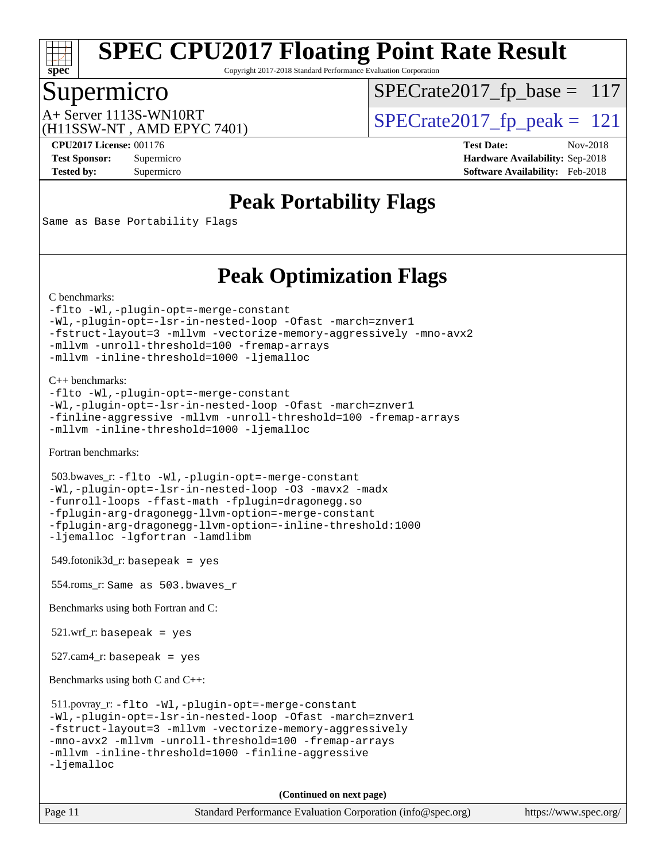

Copyright 2017-2018 Standard Performance Evaluation Corporation

### Supermicro

 $SPECrate2017_fp\_base = 117$ 

(H11SSW-NT , AMD EPYC 7401)

A+ Server 1113S-WN10RT<br>  $\langle \text{P2115} \rangle$  [SPECrate2017\\_fp\\_peak =](http://www.spec.org/auto/cpu2017/Docs/result-fields.html#SPECrate2017fppeak) 121

**[CPU2017 License:](http://www.spec.org/auto/cpu2017/Docs/result-fields.html#CPU2017License)** 001176 **[Test Date:](http://www.spec.org/auto/cpu2017/Docs/result-fields.html#TestDate)** Nov-2018 **[Test Sponsor:](http://www.spec.org/auto/cpu2017/Docs/result-fields.html#TestSponsor)** Supermicro **[Hardware Availability:](http://www.spec.org/auto/cpu2017/Docs/result-fields.html#HardwareAvailability)** Sep-2018 **[Tested by:](http://www.spec.org/auto/cpu2017/Docs/result-fields.html#Testedby)** Supermicro **[Software Availability:](http://www.spec.org/auto/cpu2017/Docs/result-fields.html#SoftwareAvailability)** Feb-2018

## **[Peak Portability Flags](http://www.spec.org/auto/cpu2017/Docs/result-fields.html#PeakPortabilityFlags)**

Same as Base Portability Flags

# **[Peak Optimization Flags](http://www.spec.org/auto/cpu2017/Docs/result-fields.html#PeakOptimizationFlags)**

```
C benchmarks:
```
[-flto](http://www.spec.org/cpu2017/results/res2018q4/cpu2017-20181112-09560.flags.html#user_CCpeak_lto) [-Wl,-plugin-opt=-merge-constant](http://www.spec.org/cpu2017/results/res2018q4/cpu2017-20181112-09560.flags.html#user_CCpeak_F-merge-constant_1d79771b5442061d9c8e05556c6b0c655e6c9e66f8c6936b0129d434b6acd2b1cf1b7cd2540d1570ff636111b08a6bc36e2e61fc34531f8ef7c1a34c57be1dbb) [-Wl,-plugin-opt=-lsr-in-nested-loop](http://www.spec.org/cpu2017/results/res2018q4/cpu2017-20181112-09560.flags.html#user_CCpeak_lsr-in-nested-loop_1cff93fd95162f5e77640b5271e8bed680fb62b4a8d96fb8ab217ff3244646f1fbb342e31af83c263403bbf5249c7dc7732d5c86c3eab4cc8d32dcb7a6f33ca0) [-Ofast](http://www.spec.org/cpu2017/results/res2018q4/cpu2017-20181112-09560.flags.html#user_CCpeak_F-aocc-Ofast) [-march=znver1](http://www.spec.org/cpu2017/results/res2018q4/cpu2017-20181112-09560.flags.html#user_CCpeak_F-march) [-fstruct-layout=3](http://www.spec.org/cpu2017/results/res2018q4/cpu2017-20181112-09560.flags.html#user_CCpeak_F-fstruct-layout) [-mllvm -vectorize-memory-aggressively](http://www.spec.org/cpu2017/results/res2018q4/cpu2017-20181112-09560.flags.html#user_CCpeak_vectorize-memory-aggressively_24b72a4417f50ade9e698c5b3bed87ab456cc6fc8ec6439480cb84f36ad6a3975af6e87206dea402e3871a1464ff3d60bc798e0250f330177ba629a260df1857) [-mno-avx2](http://www.spec.org/cpu2017/results/res2018q4/cpu2017-20181112-09560.flags.html#user_CCpeak_F-mno-avx2) [-mllvm -unroll-threshold=100](http://www.spec.org/cpu2017/results/res2018q4/cpu2017-20181112-09560.flags.html#user_CCpeak_F-unroll-threshold_2755d0c78138845d361fa1543e3a063fffa198df9b3edf0cfb856bbc88a81e1769b12ac7a550c5d35197be55360db1a3f95a8d1304df999456cabf5120c45168) [-fremap-arrays](http://www.spec.org/cpu2017/results/res2018q4/cpu2017-20181112-09560.flags.html#user_CCpeak_F-fremap-arrays) [-mllvm -inline-threshold=1000](http://www.spec.org/cpu2017/results/res2018q4/cpu2017-20181112-09560.flags.html#user_CCpeak_inline-threshold_b7832241b0a6397e4ecdbaf0eb7defdc10f885c2a282fa3240fdc99844d543fda39cf8a4a9dccf68cf19b5438ac3b455264f478df15da0f4988afa40d8243bab) [-ljemalloc](http://www.spec.org/cpu2017/results/res2018q4/cpu2017-20181112-09560.flags.html#user_CCpeak_jemalloc-lib_d1249b907c500fa1c0672f44f562e3d0f79738ae9e3c4a9c376d49f265a04b9c99b167ecedbf6711b3085be911c67ff61f150a17b3472be731631ba4d0471706)

[C++ benchmarks:](http://www.spec.org/auto/cpu2017/Docs/result-fields.html#CXXbenchmarks)

```
-flto -Wl,-plugin-opt=-merge-constant
-Wl,-plugin-opt=-lsr-in-nested-loop -Ofast -march=znver1
-finline-aggressive -mllvm -unroll-threshold=100 -fremap-arrays
-mllvm -inline-threshold=1000 -ljemalloc
```
[Fortran benchmarks](http://www.spec.org/auto/cpu2017/Docs/result-fields.html#Fortranbenchmarks):

```
 503.bwaves_r: -flto -Wl,-plugin-opt=-merge-constant
-Wl,-plugin-opt=-lsr-in-nested-loop -O3 -mavx2 -madx
-funroll-loops -ffast-math -fplugin=dragonegg.so
-fplugin-arg-dragonegg-llvm-option=-merge-constant
-fplugin-arg-dragonegg-llvm-option=-inline-threshold:1000
-ljemalloc -lgfortran -lamdlibm
```
549.fotonik3d\_r: basepeak = yes

554.roms\_r: Same as 503.bwaves\_r

[Benchmarks using both Fortran and C](http://www.spec.org/auto/cpu2017/Docs/result-fields.html#BenchmarksusingbothFortranandC):

521.wrf\_r: basepeak = yes

527.cam4\_r: basepeak = yes

[Benchmarks using both C and C++](http://www.spec.org/auto/cpu2017/Docs/result-fields.html#BenchmarksusingbothCandCXX):

```
 511.povray_r: -flto -Wl,-plugin-opt=-merge-constant
-Wl,-plugin-opt=-lsr-in-nested-loop -Ofast -march=znver1
-fstruct-layout=3 -mllvm -vectorize-memory-aggressively
-mno-avx2 -mllvm -unroll-threshold=100 -fremap-arrays
-mllvm -inline-threshold=1000 -finline-aggressive
-ljemalloc
```
**(Continued on next page)**